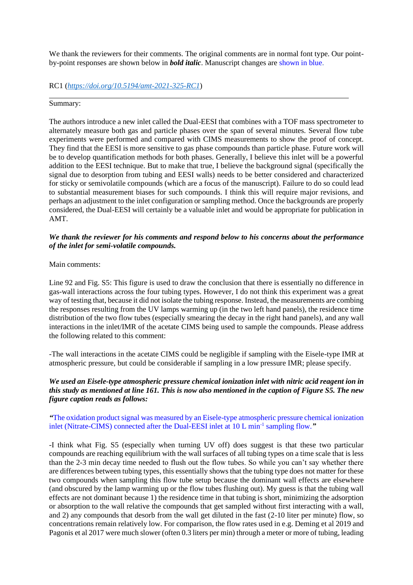We thank the reviewers for their comments. The original comments are in normal font type. Our pointby-point responses are shown below in *bold italic*. Manuscript changes are shown in blue.

RC1 (*<https://doi.org/10.5194/amt-2021-325-RC1>*)

### Summary:

 $\overline{a}$ 

The authors introduce a new inlet called the Dual-EESI that combines with a TOF mass spectrometer to alternately measure both gas and particle phases over the span of several minutes. Several flow tube experiments were performed and compared with CIMS measurements to show the proof of concept. They find that the EESI is more sensitive to gas phase compounds than particle phase. Future work will be to develop quantification methods for both phases. Generally, I believe this inlet will be a powerful addition to the EESI technique. But to make that true, I believe the background signal (specifically the signal due to desorption from tubing and EESI walls) needs to be better considered and characterized for sticky or semivolatile compounds (which are a focus of the manuscript). Failure to do so could lead to substantial measurement biases for such compounds. I think this will require major revisions, and perhaps an adjustment to the inlet configuration or sampling method. Once the backgrounds are properly considered, the Dual-EESI will certainly be a valuable inlet and would be appropriate for publication in AMT.

# *We thank the reviewer for his comments and respond below to his concerns about the performance of the inlet for semi-volatile compounds.*

#### Main comments:

Line 92 and Fig. S5: This figure is used to draw the conclusion that there is essentially no difference in gas-wall interactions across the four tubing types. However, I do not think this experiment was a great way of testing that, because it did not isolate the tubing response. Instead, the measurements are combing the responses resulting from the UV lamps warming up (in the two left hand panels), the residence time distribution of the two flow tubes (especially smearing the decay in the right hand panels), and any wall interactions in the inlet/IMR of the acetate CIMS being used to sample the compounds. Please address the following related to this comment:

-The wall interactions in the acetate CIMS could be negligible if sampling with the Eisele-type IMR at atmospheric pressure, but could be considerable if sampling in a low pressure IMR; please specify.

### *We used an Eisele-type atmospheric pressure chemical ionization inlet with nitric acid reagent ion in this study as mentioned at line 161. This is now also mentioned in the caption of Figure S5. The new figure caption reads as follows:*

# *"*The oxidation product signal was measured by an Eisele-type atmospheric pressure chemical ionization inlet (Nitrate-CIMS) connected after the Dual-EESI inlet at 10 L min-1 sampling flow.*"*

-I think what Fig. S5 (especially when turning UV off) does suggest is that these two particular compounds are reaching equilibrium with the wall surfaces of all tubing types on a time scale that is less than the 2-3 min decay time needed to flush out the flow tubes. So while you can't say whether there are differences between tubing types, this essentially shows that the tubing type does not matter for these two compounds when sampling this flow tube setup because the dominant wall effects are elsewhere (and obscured by the lamp warming up or the flow tubes flushing out). My guess is that the tubing wall effects are not dominant because 1) the residence time in that tubing is short, minimizing the adsorption or absorption to the wall relative the compounds that get sampled without first interacting with a wall, and 2) any compounds that desorb from the wall get diluted in the fast (2-10 liter per minute) flow, so concentrations remain relatively low. For comparison, the flow rates used in e.g. Deming et al 2019 and Pagonis et al 2017 were much slower (often 0.3 liters per min) through a meter or more of tubing, leading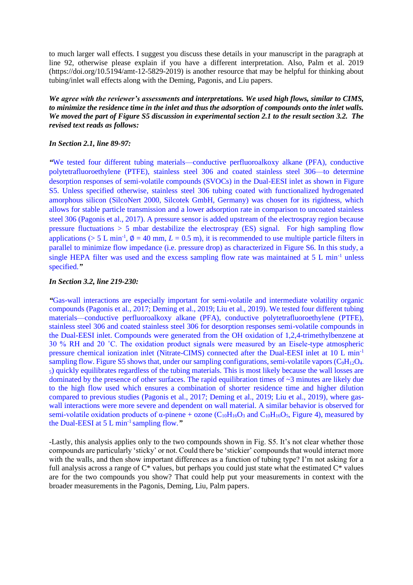to much larger wall effects. I suggest you discuss these details in your manuscript in the paragraph at line 92, otherwise please explain if you have a different interpretation. Also, Palm et al. 2019 (https://doi.org/10.5194/amt-12-5829-2019) is another resource that may be helpful for thinking about tubing/inlet wall effects along with the Deming, Pagonis, and Liu papers.

*We agree with the reviewer's assessments and interpretations. We used high flows, similar to CIMS, to minimize the residence time in the inlet and thus the adsorption of compounds onto the inlet walls. We moved the part of Figure S5 discussion in experimental section 2.1 to the result section 3.2. The revised text reads as follows:*

### *In Section 2.1, line 89-97:*

*"*We tested four different tubing materials—conductive perfluoroalkoxy alkane (PFA), conductive polytetrafluoroethylene (PTFE), stainless steel 306 and coated stainless steel 306—to determine desorption responses of semi-volatile compounds (SVOCs) in the Dual-EESI inlet as shown in Figure S5. Unless specified otherwise, stainless steel 306 tubing coated with functionalized hydrogenated amorphous silicon (SilcoNert 2000, Silcotek GmbH, Germany) was chosen for its rigidness, which allows for stable particle transmission and a lower adsorption rate in comparison to uncoated stainless steel 306 (Pagonis et al., 2017). A pressure sensor is added upstream of the electrospray region because pressure fluctuations > 5 mbar destabilize the electrospray (ES) signal. For high sampling flow applications ( $> 5$  L min<sup>-1</sup>,  $\phi = 40$  mm,  $L = 0.5$  m), it is recommended to use multiple particle filters in parallel to minimize flow impedance (i.e. pressure drop) as characterized in Figure S6. In this study, a single HEPA filter was used and the excess sampling flow rate was maintained at 5 L min<sup>-1</sup> unless specified.*"*

# *In Section 3.2, line 219-230:*

*"*Gas-wall interactions are especially important for semi-volatile and intermediate volatility organic compounds (Pagonis et al., 2017; Deming et al., 2019; Liu et al., 2019). We tested four different tubing materials—conductive perfluoroalkoxy alkane (PFA), conductive polytetrafluoroethylene (PTFE), stainless steel 306 and coated stainless steel 306 for desorption responses semi-volatile compounds in the Dual-EESI inlet. Compounds were generated from the OH oxidation of 1,2,4-trimethylbenzene at 30 % RH and 20 ˚C. The oxidation product signals were measured by an Eisele-type atmospheric pressure chemical ionization inlet (Nitrate-CIMS) connected after the Dual-EESI inlet at 10 L min-1 sampling flow. Figure S5 shows that, under our sampling configurations, semi-volatile vapors  $(C_9H_{12}O_4$ -<sup>5</sup>) quickly equilibrates regardless of the tubing materials. This is most likely because the wall losses are dominated by the presence of other surfaces. The rapid equilibration times of ~3 minutes are likely due to the high flow used which ensures a combination of shorter residence time and higher dilution compared to previous studies (Pagonis et al., 2017; Deming et al., 2019; Liu et al., 2019), where gaswall interactions were more severe and dependent on wall material. A similar behavior is observed for semi-volatile oxidation products of  $\alpha$ -pinene + ozone (C<sub>10</sub>H<sub>16</sub>O<sub>3</sub> and C<sub>10</sub>H<sub>16</sub>O<sub>5</sub>, Figure 4), measured by the Dual-EESI at 5 L min-1 sampling flow.*"*

-Lastly, this analysis applies only to the two compounds shown in Fig. S5. It's not clear whether those compounds are particularly 'sticky' or not. Could there be 'stickier' compounds that would interact more with the walls, and then show important differences as a function of tubing type? I'm not asking for a full analysis across a range of  $C^*$  values, but perhaps you could just state what the estimated  $C^*$  values are for the two compounds you show? That could help put your measurements in context with the broader measurements in the Pagonis, Deming, Liu, Palm papers.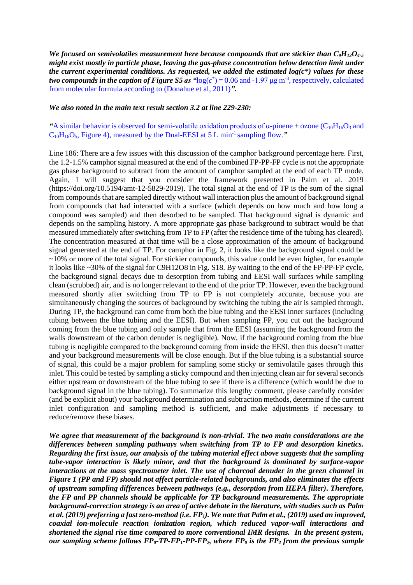*We focused on semivolatiles measurement here because compounds that are stickier than C9H12O4-5 might exist mostly in particle phase, leaving the gas-phase concentration below detection limit under the current experimental conditions. As requested, we added the estimated log(c\*) values for these two compounds in the caption of Figure S5 as*  ${}^{4}$ *log(* $c^*$ *) = 0.06 and -1.97*  $\mu$ *g m<sup>-3</sup>, respectively, calculated* from molecular formula according to (Donahue et al, 2011)*".*

#### *We also noted in the main text result section 3.2 at line 229-230:*

# **"A similar behavior is observed for semi-volatile oxidation products of α-pinene + ozone (** $C_{10}H_{16}O_3$  **and** C10H16O5, Figure 4), measured by the Dual-EESI at 5 L min-1 sampling flow.*"*

Line 186: There are a few issues with this discussion of the camphor background percentage here. First, the 1.2-1.5% camphor signal measured at the end of the combined FP-PP-FP cycle is not the appropriate gas phase background to subtract from the amount of camphor sampled at the end of each TP mode. Again, I will suggest that you consider the framework presented in Palm et al. 2019 (https://doi.org/10.5194/amt-12-5829-2019). The total signal at the end of TP is the sum of the signal from compounds that are sampled directly without wall interaction plus the amount of background signal from compounds that had interacted with a surface (which depends on how much and how long a compound was sampled) and then desorbed to be sampled. That background signal is dynamic and depends on the sampling history. A more appropriate gas phase background to subtract would be that measured immediately after switching from TP to FP (after the residence time of the tubing has cleared). The concentration measured at that time will be a close approximation of the amount of background signal generated at the end of TP. For camphor in Fig. 2, it looks like the background signal could be  $\sim$ 10% or more of the total signal. For stickier compounds, this value could be even higher, for example it looks like ~30% of the signal for C9H12O8 in Fig. S18. By waiting to the end of the FP-PP-FP cycle, the background signal decays due to desorption from tubing and EESI wall surfaces while sampling clean (scrubbed) air, and is no longer relevant to the end of the prior TP. However, even the background measured shortly after switching from TP to FP is not completely accurate, because you are simultaneously changing the sources of background by switching the tubing the air is sampled through. During TP, the background can come from both the blue tubing and the EESI inner surfaces (including tubing between the blue tubing and the EESI). But when sampling FP, you cut out the background coming from the blue tubing and only sample that from the EESI (assuming the background from the walls downstream of the carbon denuder is negligible). Now, if the background coming from the blue tubing is negligible compared to the background coming from inside the EESI, then this doesn't matter and your background measurements will be close enough. But if the blue tubing is a substantial source of signal, this could be a major problem for sampling some sticky or semivolatile gases through this inlet. This could be tested by sampling a sticky compound and then injecting clean air for several seconds either upstream or downstream of the blue tubing to see if there is a difference (which would be due to background signal in the blue tubing). To summarize this lengthy comment, please carefully consider (and be explicit about) your background determination and subtraction methods, determine if the current inlet configuration and sampling method is sufficient, and make adjustments if necessary to reduce/remove these biases.

*We agree that measurement of the background is non-trivial. The two main considerations are the differences between sampling pathways when switching from TP to FP and desorption kinetics. Regarding the first issue, our analysis of the tubing material effect above suggests that the sampling tube-vapor interaction is likely minor, and that the background is dominated by surface-vapor interactions at the mass spectrometer inlet. The use of charcoal denuder in the green channel in Figure 1 (PP and FP) should not affect particle-related backgrounds, and also eliminates the effects of upstream sampling differences between pathways (e.g., desorption from HEPA filter). Therefore, the FP and PP channels should be applicable for TP background measurements. The appropriate background-correction strategy is an area of active debate in the literature, with studies such as Palm et al. (2019) preferring a fast zero-method (i.e. FP1). We note that Palm et al., (2019) used an improved, coaxial ion-molecule reaction ionization region, which reduced vapor-wall interactions and shortened the signal rise time compared to more conventional IMR designs. In the present system, our sampling scheme follows FP0-TP-FP1-PP-FP2, where FP<sup>0</sup> is the FP<sup>2</sup> from the previous sample*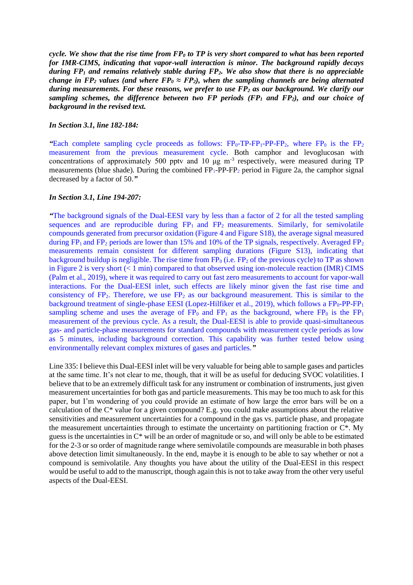*cycle. We show that the rise time from FP<sup>0</sup> to TP is very short compared to what has been reported for IMR-CIMS, indicating that vapor-wall interaction is minor. The background rapidly decays during FP<sup>1</sup> and remains relatively stable during FP2. We also show that there is no appreciable change in FP<sub>2</sub> values (and where FP<sub>0</sub>*  $\approx$  *FP<sub>2</sub>), when the sampling channels are being alternated during measurements. For these reasons, we prefer to use FP<sup>2</sup> as our background. We clarify our sampling schemes, the difference between two FP periods (FP<sup>1</sup> and FP2), and our choice of background in the revised text.*

#### *In Section 3.1, line 182-184:*

**"Each complete sampling cycle proceeds as follows:**  $FP_0$ **-** $TP$ **-** $FP_1$ **-** $PP$ **-** $FP_2$ **, where**  $FP_0$  **is the**  $FP_2$ measurement from the previous measurement cycle. Both camphor and levoglucosan with concentrations of approximately 500 pptv and 10  $\mu$ g m<sup>-3</sup> respectively, were measured during TP measurements (blue shade). During the combined  $FP_1-PP-FP_2$  period in Figure 2a, the camphor signal decreased by a factor of 50.*"*

#### *In Section 3.1, Line 194-207:*

*"*The background signals of the Dual-EESI vary by less than a factor of 2 for all the tested sampling sequences and are reproducible during  $FP_1$  and  $FP_2$  measurements. Similarly, for semivolatile compounds generated from precursor oxidation (Figure 4 and Figure S18), the average signal measured during  $FP_1$  and  $FP_2$  periods are lower than 15% and 10% of the TP signals, respectively. Averaged  $FP_2$ measurements remain consistent for different sampling durations (Figure S13), indicating that background buildup is negligible. The rise time from  $FP_0$  (i.e.  $FP_2$  of the previous cycle) to TP as shown in Figure 2 is very short (< 1 min) compared to that observed using ion-molecule reaction (IMR) CIMS (Palm et al., 2019), where it was required to carry out fast zero measurements to account for vapor-wall interactions. For the Dual-EESI inlet, such effects are likely minor given the fast rise time and consistency of  $FP_2$ . Therefore, we use  $FP_2$  as our background measurement. This is similar to the background treatment of single-phase EESI (Lopez-Hilfiker et al., 2019), which follows a  $FP_0-PP-FP_1$ sampling scheme and uses the average of  $FP_0$  and  $FP_1$  as the background, where  $FP_0$  is the  $FP_1$ measurement of the previous cycle. As a result, the Dual-EESI is able to provide quasi-simultaneous gas- and particle-phase measurements for standard compounds with measurement cycle periods as low as 5 minutes, including background correction. This capability was further tested below using environmentally relevant complex mixtures of gases and particles.*"*

Line 335: I believe this Dual-EESI inlet will be very valuable for being able to sample gases and particles at the same time. It's not clear to me, though, that it will be as useful for deducing SVOC volatilities. I believe that to be an extremely difficult task for any instrument or combination of instruments, just given measurement uncertainties for both gas and particle measurements. This may be too much to ask for this paper, but I'm wondering of you could provide an estimate of how large the error bars will be on a calculation of the  $C^*$  value for a given compound? E.g. you could make assumptions about the relative sensitivities and measurement uncertainties for a compound in the gas vs. particle phase, and propagate the measurement uncertainties through to estimate the uncertainty on partitioning fraction or C\*. My guess is the uncertainties in C\* will be an order of magnitude or so, and will only be able to be estimated for the 2-3 or so order of magnitude range where semivolatile compounds are measurable in both phases above detection limit simultaneously. In the end, maybe it is enough to be able to say whether or not a compound is semivolatile. Any thoughts you have about the utility of the Dual-EESI in this respect would be useful to add to the manuscript, though again this is not to take away from the other very useful aspects of the Dual-EESI.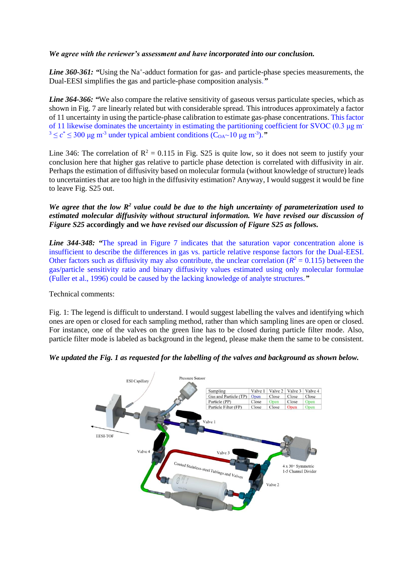# *We agree with the reviewer's assessment and have incorporated into our conclusion.*

Line 360-361: "Using the Na<sup>+</sup>-adduct formation for gas- and particle-phase species measurements, the Dual-EESI simplifies the gas and particle-phase composition analysis.*"*

*Line* 364-366: "We also compare the relative sensitivity of gaseous versus particulate species, which as shown in Fig. 7 are linearly related but with considerable spread. This introduces approximately a factor of 11 uncertainty in using the particle-phase calibration to estimate gas-phase concentrations. This factor of 11 likewise dominates the uncertainty in estimating the partitioning coefficient for SVOC (0.3  $\mu$ g m<sup>-</sup>  $3 \le c^* \le 300 \text{ µg m}^3$  under typical ambient conditions (C<sub>OA</sub> $\sim$ 10  $\mu$ g m<sup>-3</sup>).<sup>2</sup>

Line 346: The correlation of  $\mathbb{R}^2 = 0.115$  in Fig. S25 is quite low, so it does not seem to justify your conclusion here that higher gas relative to particle phase detection is correlated with diffusivity in air. Perhaps the estimation of diffusivity based on molecular formula (without knowledge of structure) leads to uncertainties that are too high in the diffusivity estimation? Anyway, I would suggest it would be fine to leave Fig. S25 out.

# We agree that the low  $R^2$  value could be due to the high uncertainty of parameterization used to *estimated molecular diffusivity without structural information. We have revised our discussion of Figure S25* **accordingly and we** *have revised our discussion of Figure S25 as follows.*

*Line* 344-348: "The spread in Figure 7 indicates that the saturation vapor concentration alone is insufficient to describe the differences in gas vs. particle relative response factors for the Dual-EESI. Other factors such as diffusivity may also contribute, the unclear correlation ( $R^2 = 0.115$ ) between the gas/particle sensitivity ratio and binary diffusivity values estimated using only molecular formulae (Fuller et al., 1996) could be caused by the lacking knowledge of analyte structures.*"*

Technical comments:

Fig. 1: The legend is difficult to understand. I would suggest labelling the valves and identifying which ones are open or closed for each sampling method, rather than which sampling lines are open or closed. For instance, one of the valves on the green line has to be closed during particle filter mode. Also, particle filter mode is labeled as background in the legend, please make them the same to be consistent.

### *We updated the Fig. 1 as requested for the labelling of the valves and background as shown below.*